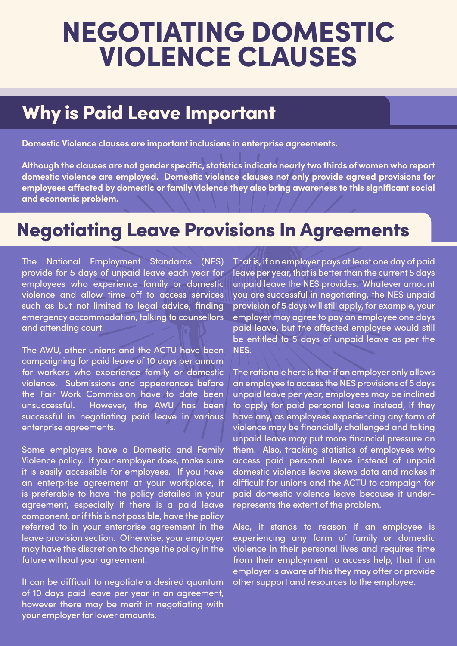# NEGOTIATING DOMESTIC VIOLENCE CLAUSES

## Why is Paid Leave Important

**Domestic Violence clauses are important inclusions in enterprise agreements.** 

**Although the clauses are not gender specific, statistics indicate nearly two thirds of women who report domestic violence are employed. Domestic violence clauses not only provide agreed provisions for employees affected by domestic or family violence they also bring awareness to this significant social and economic problem.** 

#### **Negotiating Leave Provisions In Agreements**

The National Employment Standards (NES) provide for 5 days of unpaid leave each year for employees who experience family or domestic violence and allow time off to access services such as but not limited to legal advice, finding emergency accommodation, talking to counsellors and attending court.

The AWU, other unions and the ACTU have been campaigning for paid leave of 10 days per annum for workers who experience family or domestic violence. Submissions and appearances before the Fair Work Commission have to date been unsuccessful. However, the AWU has been successful in negotiating paid leave in various enterprise agreements.

Some employers have a Domestic and Family Violence policy. If your employer does, make sure it is easily accessible for employees. If you have an enterprise agreement at your workplace, it is preferable to have the policy detailed in your agreement, especially if there is a paid leave component, or if this is not possible, have the policy referred to in your enterprise agreement in the leave provision section. Otherwise, your employer may have the discretion to change the policy in the future without your agreement.

It can be difficult to negotiate a desired quantum of 10 days paid leave per year in an agreement, however there may be merit in negotiating with your employer for lower amounts.

That is, if an employer pays at least one day of paid leave per year, that is better than the current 5 days unpaid leave the NES provides. Whatever amount you are successful in negotiating, the NES unpaid provision of 5 days will still apply, for example, your employer may agree to pay an employee one days paid leave, but the affected employee would still be entitled to 5 days of unpaid leave as per the NES.

The rationale here is that if an employer only allows an employee to access the NES provisions of 5 days unpaid leave per year, employees may be inclined to apply for paid personal leave instead, if they have any, as employees experiencing any form of violence may be financially challenged and taking unpaid leave may put more financial pressure on them. Also, tracking statistics of employees who access paid personal leave instead of unpaid domestic violence leave skews data and makes it difficult for unions and the ACTU to campaign for paid domestic violence leave because it underrepresents the extent of the problem.

Also, it stands to reason if an employee is experiencing any form of family or domestic violence in their personal lives and requires time from their employment to access help, that if an employer is aware of this they may offer or provide other support and resources to the employee.